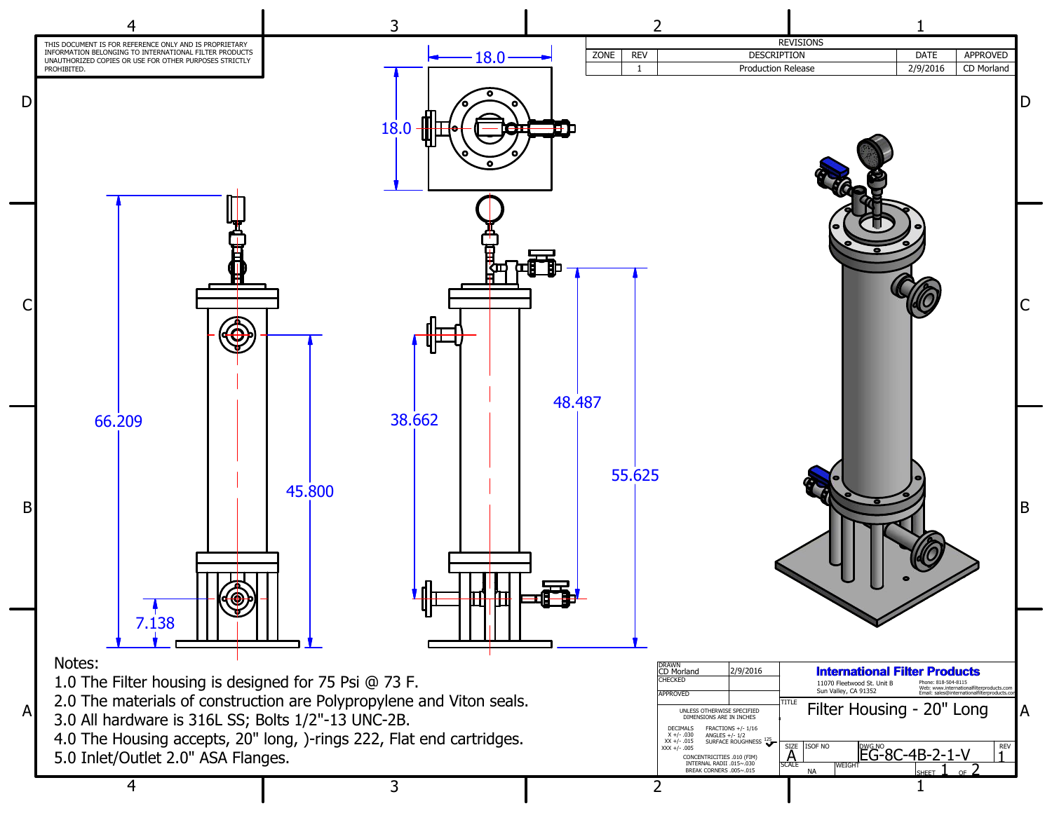